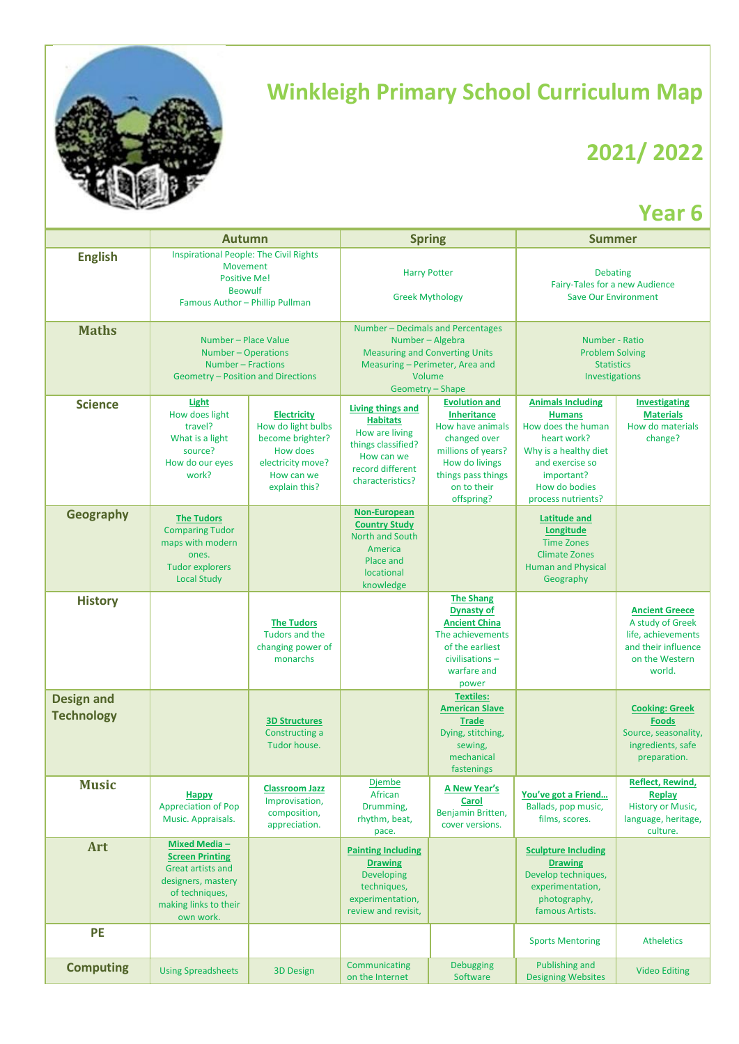

## **Winkleigh Primary School Curriculum Map**

## **2021/ 2022**

## **Year 6**

|                                        | <b>Autumn</b>                                                                                                                                            |                                                                                                                                     | <b>Spring</b>                                                                                                                                                   |                                                                                                                                                                           | <b>Summer</b>                                                                                                                                                                   |                                                                                                                    |
|----------------------------------------|----------------------------------------------------------------------------------------------------------------------------------------------------------|-------------------------------------------------------------------------------------------------------------------------------------|-----------------------------------------------------------------------------------------------------------------------------------------------------------------|---------------------------------------------------------------------------------------------------------------------------------------------------------------------------|---------------------------------------------------------------------------------------------------------------------------------------------------------------------------------|--------------------------------------------------------------------------------------------------------------------|
| <b>English</b>                         | <b>Inspirational People: The Civil Rights</b><br>Movement<br><b>Positive Me!</b><br><b>Beowulf</b><br>Famous Author - Phillip Pullman                    |                                                                                                                                     | <b>Harry Potter</b><br><b>Greek Mythology</b>                                                                                                                   |                                                                                                                                                                           | <b>Debating</b><br>Fairy-Tales for a new Audience<br><b>Save Our Environment</b>                                                                                                |                                                                                                                    |
| <b>Maths</b>                           | Number - Place Value<br>Number - Operations<br>Number - Fractions<br>Geometry - Position and Directions                                                  |                                                                                                                                     | Number - Decimals and Percentages<br>Number - Algebra<br><b>Measuring and Converting Units</b><br>Measuring - Perimeter, Area and<br>Volume<br>Geometry - Shape |                                                                                                                                                                           | Number - Ratio<br><b>Problem Solving</b><br><b>Statistics</b><br>Investigations                                                                                                 |                                                                                                                    |
| <b>Science</b>                         | Light<br>How does light<br>travel?<br>What is a light<br>source?<br>How do our eyes<br>work?                                                             | <b>Electricity</b><br>How do light bulbs<br>become brighter?<br><b>How does</b><br>electricity move?<br>How can we<br>explain this? | Living things and<br><b>Habitats</b><br>How are living<br>things classified?<br>How can we<br>record different<br>characteristics?                              | <b>Evolution and</b><br><b>Inheritance</b><br>How have animals<br>changed over<br>millions of years?<br>How do livings<br>things pass things<br>on to their<br>offspring? | <b>Animals Including</b><br><b>Humans</b><br>How does the human<br>heart work?<br>Why is a healthy diet<br>and exercise so<br>important?<br>How do bodies<br>process nutrients? | <b>Investigating</b><br><b>Materials</b><br>How do materials<br>change?                                            |
| Geography                              | <b>The Tudors</b><br><b>Comparing Tudor</b><br>maps with modern<br>ones.<br><b>Tudor explorers</b><br><b>Local Study</b>                                 |                                                                                                                                     | Non-European<br><b>Country Study</b><br>North and South<br>America<br>Place and<br>locational<br>knowledge                                                      |                                                                                                                                                                           | <b>Latitude and</b><br>Longitude<br><b>Time Zones</b><br><b>Climate Zones</b><br><b>Human and Physical</b><br>Geography                                                         |                                                                                                                    |
| <b>History</b>                         |                                                                                                                                                          | <b>The Tudors</b><br>Tudors and the<br>changing power of<br>monarchs                                                                |                                                                                                                                                                 | <b>The Shang</b><br><b>Dynasty of</b><br><b>Ancient China</b><br>The achievements<br>of the earliest<br>civilisations-<br>warfare and<br>power                            |                                                                                                                                                                                 | <b>Ancient Greece</b><br>A study of Greek<br>life, achievements<br>and their influence<br>on the Western<br>world. |
| <b>Design and</b><br><b>Technology</b> |                                                                                                                                                          | <b>3D Structures</b><br>Constructing a<br>Tudor house.                                                                              |                                                                                                                                                                 | <b>Textiles:</b><br><b>American Slave</b><br><b>Trade</b><br>Dying, stitching,<br>sewing,<br>mechanical<br>fastenings                                                     |                                                                                                                                                                                 | <b>Cooking: Greek</b><br><b>Foods</b><br>Source, seasonality,<br>ingredients, safe<br>preparation.                 |
| <b>Music</b>                           | Happy<br><b>Appreciation of Pop</b><br>Music. Appraisals.                                                                                                | <b>Classroom Jazz</b><br>Improvisation,<br>composition,<br>appreciation.                                                            | <u>Djembe</u><br>African<br>Drumming,<br>rhythm, beat,<br>pace.                                                                                                 | <b>A New Year's</b><br>Carol<br>Benjamin Britten,<br>cover versions.                                                                                                      | You've got a Friend<br>Ballads, pop music,<br>films, scores.                                                                                                                    | <b>Reflect, Rewind,</b><br><b>Replay</b><br><b>History or Music,</b><br>language, heritage,<br>culture.            |
| Art                                    | <b>Mixed Media -</b><br><b>Screen Printing</b><br><b>Great artists and</b><br>designers, mastery<br>of techniques,<br>making links to their<br>own work. |                                                                                                                                     | <b>Painting Including</b><br><b>Drawing</b><br>Developing<br>techniques,<br>experimentation,<br>review and revisit,                                             |                                                                                                                                                                           | <b>Sculpture Including</b><br><b>Drawing</b><br>Develop techniques,<br>experimentation,<br>photography,<br>famous Artists.                                                      |                                                                                                                    |
| <b>PE</b>                              |                                                                                                                                                          |                                                                                                                                     |                                                                                                                                                                 |                                                                                                                                                                           | <b>Sports Mentoring</b>                                                                                                                                                         | <b>Atheletics</b>                                                                                                  |
| <b>Computing</b>                       | <b>Using Spreadsheets</b>                                                                                                                                | <b>3D Design</b>                                                                                                                    | Communicating<br>on the Internet                                                                                                                                | <b>Debugging</b><br>Software                                                                                                                                              | <b>Publishing and</b><br><b>Designing Websites</b>                                                                                                                              | <b>Video Editing</b>                                                                                               |